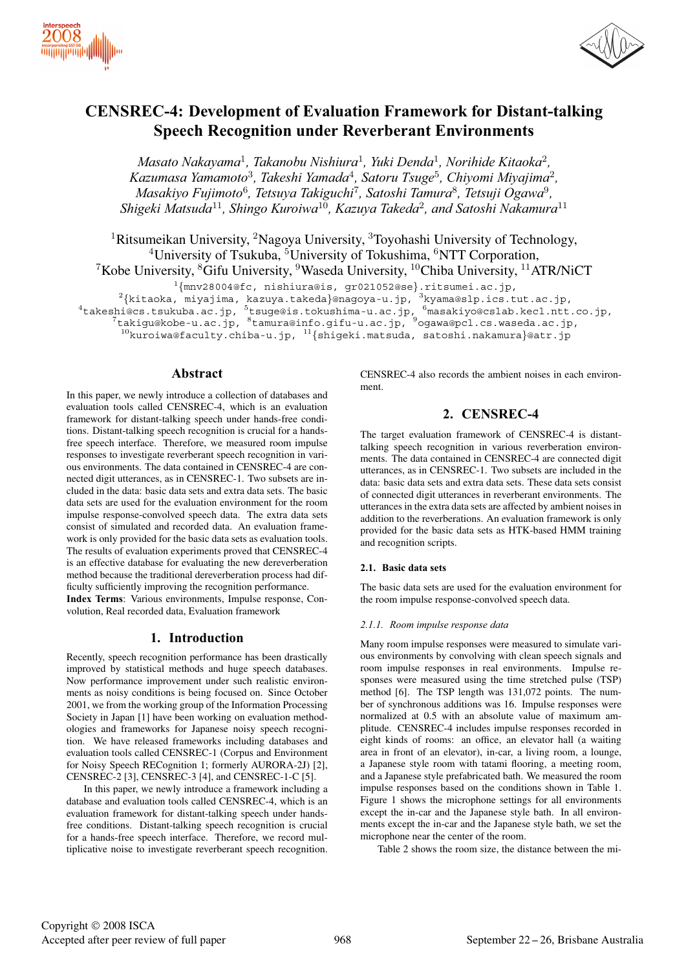



# **CENSREC-4: Development of Evaluation Framework for Distant-talking Speech Recognition under Reverberant Environments**

*Masato Nakayama*<sup>1</sup>*, Takanobu Nishiura*<sup>1</sup>*, Yuki Denda*<sup>1</sup>*, Norihide Kitaoka*<sup>2</sup>*, Kazumasa Yamamoto*<sup>3</sup>*, Takeshi Yamada*<sup>4</sup>*, Satoru Tsuge*<sup>5</sup>*, Chiyomi Miyajima*<sup>2</sup>*, Masakiyo Fujimoto*<sup>6</sup>*, Tetsuya Takiguchi*<sup>7</sup>*, Satoshi Tamura*<sup>8</sup>*, Tetsuji Ogawa*<sup>9</sup>*, Shigeki Matsuda*<sup>11</sup>*, Shingo Kuroiwa*<sup>10</sup>*, Kazuya Takeda*<sup>2</sup>*, and Satoshi Nakamura*<sup>11</sup>

<sup>1</sup>Ritsumeikan University, <sup>2</sup>Nagoya University, <sup>3</sup>Toyohashi University of Technology, <sup>4</sup>University of Tsukuba, <sup>5</sup>University of Tokushima, <sup>6</sup>NTT Corporation, <sup>7</sup>Kobe University,  ${}^{8}$ Gifu University,  ${}^{9}$ Waseda University,  ${}^{10}$ Chiba University,  ${}^{11}$ ATR/NiCT

 $^{1}$ {mnv28004@fc, nishiura@is, gr021052@se}.ritsumei.ac.jp,  $^{2}$ {kitaoka, miyajima, kazuya.takeda}@nagoya-u.jp,  $^{3}$ kyama@slp.ics.tut.ac.jp,  $^{4}$ takeshi@cs.tsukuba.ac.jp,  $^{5}$ tsuge@is.tokushima-u.ac.jp,  $^{6}$ masakiyo

 $^7$ takigu@kobe-u.ac.jp,  $^8$ tamura@info.gifu-u.ac.jp,  $^9$ ogawa@pcl.cs.waseda.ac.jp,

 $^{10}$ kuroiwa@faculty.chiba-u.jp,  $^{11}\{$ shigeki.matsuda, satoshi.nakamura}@atr.jp

## **Abstract**

In this paper, we newly introduce a collection of databases and evaluation tools called CENSREC-4, which is an evaluation framework for distant-talking speech under hands-free conditions. Distant-talking speech recognition is crucial for a handsfree speech interface. Therefore, we measured room impulse responses to investigate reverberant speech recognition in various environments. The data contained in CENSREC-4 are connected digit utterances, as in CENSREC-1. Two subsets are included in the data: basic data sets and extra data sets. The basic data sets are used for the evaluation environment for the room impulse response-convolved speech data. The extra data sets consist of simulated and recorded data. An evaluation framework is only provided for the basic data sets as evaluation tools. The results of evaluation experiments proved that CENSREC-4 is an effective database for evaluating the new dereverberation method because the traditional dereverberation process had difficulty sufficiently improving the recognition performance.

**Index Terms**: Various environments, Impulse response, Convolution, Real recorded data, Evaluation framework

## **1. Introduction**

Recently, speech recognition performance has been drastically improved by statistical methods and huge speech databases. Now performance improvement under such realistic environments as noisy conditions is being focused on. Since October 2001, we from the working group of the Information Processing Society in Japan [1] have been working on evaluation methodologies and frameworks for Japanese noisy speech recognition. We have released frameworks including databases and evaluation tools called CENSREC-1 (Corpus and Environment for Noisy Speech RECognition 1; formerly AURORA-2J) [2], CENSREC-2 [3], CENSREC-3 [4], and CENSREC-1-C [5].

In this paper, we newly introduce a framework including a database and evaluation tools called CENSREC-4, which is an evaluation framework for distant-talking speech under handsfree conditions. Distant-talking speech recognition is crucial for a hands-free speech interface. Therefore, we record multiplicative noise to investigate reverberant speech recognition. CENSREC-4 also records the ambient noises in each environment.

# **2. CENSREC-4**

The target evaluation framework of CENSREC-4 is distanttalking speech recognition in various reverberation environments. The data contained in CENSREC-4 are connected digit utterances, as in CENSREC-1. Two subsets are included in the data: basic data sets and extra data sets. These data sets consist of connected digit utterances in reverberant environments. The utterances in the extra data sets are affected by ambient noises in addition to the reverberations. An evaluation framework is only provided for the basic data sets as HTK-based HMM training and recognition scripts.

#### **2.1. Basic data sets**

The basic data sets are used for the evaluation environment for the room impulse response-convolved speech data.

#### *2.1.1. Room impulse response data*

Many room impulse responses were measured to simulate various environments by convolving with clean speech signals and room impulse responses in real environments. Impulse responses were measured using the time stretched pulse (TSP) method [6]. The TSP length was 131,072 points. The number of synchronous additions was 16. Impulse responses were normalized at 0.5 with an absolute value of maximum amplitude. CENSREC-4 includes impulse responses recorded in eight kinds of rooms: an office, an elevator hall (a waiting area in front of an elevator), in-car, a living room, a lounge, a Japanese style room with tatami flooring, a meeting room, and a Japanese style prefabricated bath. We measured the room impulse responses based on the conditions shown in Table 1. Figure 1 shows the microphone settings for all environments except the in-car and the Japanese style bath. In all environments except the in-car and the Japanese style bath, we set the microphone near the center of the room.

Table 2 shows the room size, the distance between the mi-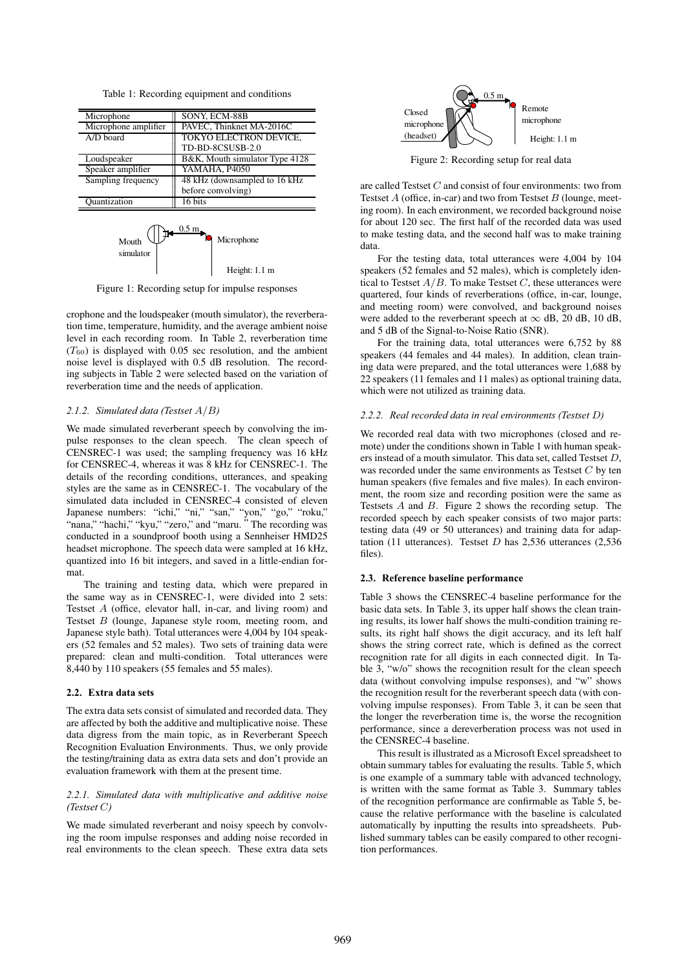Table 1: Recording equipment and conditions

| Microphone                              | SONY, ECM-88B                  |  |  |  |  |  |  |
|-----------------------------------------|--------------------------------|--|--|--|--|--|--|
| Microphone amplifier                    | PAVEC, Thinknet MA-2016C       |  |  |  |  |  |  |
| A/D board                               | TOKYO ELECTRON DEVICE,         |  |  |  |  |  |  |
|                                         | TD-BD-8CSUSB-2.0               |  |  |  |  |  |  |
| Loudspeaker                             | B&K, Mouth simulator Type 4128 |  |  |  |  |  |  |
| Speaker amplifier                       | YAMAHA, P4050                  |  |  |  |  |  |  |
| Sampling frequency                      | 48 kHz (downsampled to 16 kHz) |  |  |  |  |  |  |
|                                         | before convolving)             |  |  |  |  |  |  |
| Ouantization                            | 16 bits                        |  |  |  |  |  |  |
| 0.5 <sub>m</sub><br>Microphone<br>Mouth |                                |  |  |  |  |  |  |

Height: 1.1 m

Figure 1: Recording setup for impulse responses

crophone and the loudspeaker (mouth simulator), the reverberation time, temperature, humidity, and the average ambient noise level in each recording room. In Table 2, reverberation time  $(T_{60})$  is displayed with 0.05 sec resolution, and the ambient noise level is displayed with 0.5 dB resolution. The recording subjects in Table 2 were selected based on the variation of reverberation time and the needs of application.

## *2.1.2. Simulated data (Testset* A/B*)*

simulator

We made simulated reverberant speech by convolving the impulse responses to the clean speech. The clean speech of CENSREC-1 was used; the sampling frequency was 16 kHz for CENSREC-4, whereas it was 8 kHz for CENSREC-1. The details of the recording conditions, utterances, and speaking styles are the same as in CENSREC-1. The vocabulary of the simulated data included in CENSREC-4 consisted of eleven Japanese numbers: "ichi," "ni," "san," "yon," "go," "roku," "nana," "hachi," "kyu," "zero," and "maru. "The recording was conducted in a soundproof booth using a Sennheiser HMD25 headset microphone. The speech data were sampled at 16 kHz, quantized into 16 bit integers, and saved in a little-endian format.

The training and testing data, which were prepared in the same way as in CENSREC-1, were divided into 2 sets: Testset A (office, elevator hall, in-car, and living room) and Testset B (lounge, Japanese style room, meeting room, and Japanese style bath). Total utterances were 4,004 by 104 speakers (52 females and 52 males). Two sets of training data were prepared: clean and multi-condition. Total utterances were 8,440 by 110 speakers (55 females and 55 males).

#### **2.2. Extra data sets**

The extra data sets consist of simulated and recorded data. They are affected by both the additive and multiplicative noise. These data digress from the main topic, as in Reverberant Speech Recognition Evaluation Environments. Thus, we only provide the testing/training data as extra data sets and don't provide an evaluation framework with them at the present time.

#### *2.2.1. Simulated data with multiplicative and additive noise (Testset* C*)*

We made simulated reverberant and noisy speech by convolving the room impulse responses and adding noise recorded in real environments to the clean speech. These extra data sets



Figure 2: Recording setup for real data

are called Testset C and consist of four environments: two from Testset  $A$  (office, in-car) and two from Testset  $B$  (lounge, meeting room). In each environment, we recorded background noise for about 120 sec. The first half of the recorded data was used to make testing data, and the second half was to make training data.

For the testing data, total utterances were 4,004 by 104 speakers (52 females and 52 males), which is completely identical to Testset  $A/B$ . To make Testset C, these utterances were quartered, four kinds of reverberations (office, in-car, lounge, and meeting room) were convolved, and background noises were added to the reverberant speech at  $\infty$  dB, 20 dB, 10 dB, and 5 dB of the Signal-to-Noise Ratio (SNR).

For the training data, total utterances were 6,752 by 88 speakers (44 females and 44 males). In addition, clean training data were prepared, and the total utterances were 1,688 by 22 speakers (11 females and 11 males) as optional training data, which were not utilized as training data.

#### *2.2.2. Real recorded data in real environments (Testset* D*)*

We recorded real data with two microphones (closed and remote) under the conditions shown in Table 1 with human speakers instead of a mouth simulator. This data set, called Testset D, was recorded under the same environments as Testset  $C$  by ten human speakers (five females and five males). In each environment, the room size and recording position were the same as Testsets A and B. Figure 2 shows the recording setup. The recorded speech by each speaker consists of two major parts: testing data (49 or 50 utterances) and training data for adaptation (11 utterances). Testset  $D$  has 2,536 utterances (2,536 files).

#### **2.3. Reference baseline performance**

Table 3 shows the CENSREC-4 baseline performance for the basic data sets. In Table 3, its upper half shows the clean training results, its lower half shows the multi-condition training results, its right half shows the digit accuracy, and its left half shows the string correct rate, which is defined as the correct recognition rate for all digits in each connected digit. In Table 3, "w/o" shows the recognition result for the clean speech data (without convolving impulse responses), and "w" shows the recognition result for the reverberant speech data (with convolving impulse responses). From Table 3, it can be seen that the longer the reverberation time is, the worse the recognition performance, since a dereverberation process was not used in the CENSREC-4 baseline.

This result is illustrated as a Microsoft Excel spreadsheet to obtain summary tables for evaluating the results. Table 5, which is one example of a summary table with advanced technology, is written with the same format as Table 3. Summary tables of the recognition performance are confirmable as Table 5, because the relative performance with the baseline is calculated automatically by inputting the results into spreadsheets. Published summary tables can be easily compared to other recognition performances.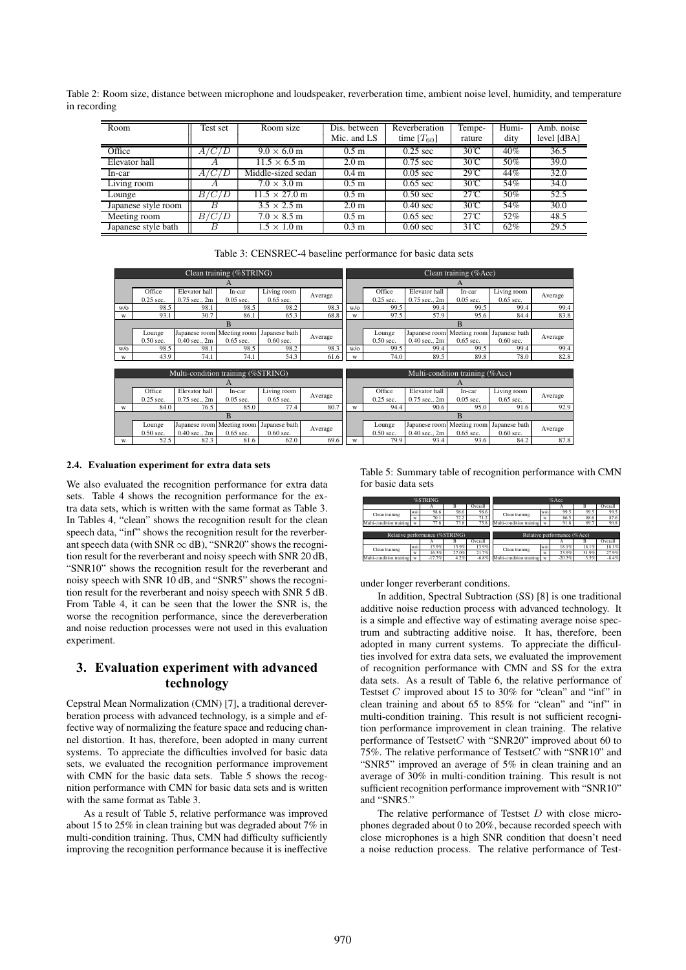Table 2: Room size, distance between microphone and loudspeaker, reverberation time, ambient noise level, humidity, and temperature in recording

| Room                | Test set | Room size                    | Dis. between     | Reverberation      | Tempe-         | Humi- | Amb. noise        |
|---------------------|----------|------------------------------|------------------|--------------------|----------------|-------|-------------------|
|                     |          |                              | Mic. and LS      | time $[T_{60}]$    | rature         | dity  | level [dBA]       |
| Office              | A/C/D    | $9.0 \times 6.0$ m           | 0.5 <sub>m</sub> | $0.25$ sec         | $30^{\circ}$ C | 40%   | 36.5              |
| Elevator hall       |          | $11.5 \times 6.5$ m          | 2.0 <sub>m</sub> | $0.75$ sec         | $30^{\circ}$ C | 50%   | 39.0              |
| In-car              | A/C/D    | Middle-sized sedan           | 0.4 <sub>m</sub> | $0.05 \text{ sec}$ | $29^{\circ}C$  | 44%   | 32.0              |
| $Living$ room       | Α        | $7.0 \times 3.0$ m           | 0.5 <sub>m</sub> | $0.65 \text{ sec}$ | $30^{\circ}$ C | 54%   | 34.0              |
| Lounge              | B/C/D    | $11.5 \times 27.0 \text{ m}$ | 0.5 <sub>m</sub> | $0.50$ sec         | $27^{\circ}$ C | 50%   | $\overline{52.5}$ |
| Japanese style room | B        | $3.5 \times 2.5$ m           | 2.0 <sub>m</sub> | $0.40 \text{ sec}$ | $30^{\circ}$ C | 54%   | 30.0              |
| Meeting room        | B/C/D    | $7.0 \times 8.5$ m           | 0.5 <sub>m</sub> | $0.65$ sec         | $27^\circ$ C   | 52%   | 48.5              |
| Japanese style bath | B        | $1.5 \times 1.0$ m           | 0.3 <sub>m</sub> | $0.60 \text{ sec}$ | $31^{\circ}$ C | 62%   | 29.5              |

|                          | Table 3: CENSREC-4 baseline performance for basic data sets |
|--------------------------|-------------------------------------------------------------|
| Clean training (%STRING) | Clean training (%Acc)                                       |
|                          |                                                             |

|     |             |                                    | A                          |               |         |               |             |                   | A                               |               |         |
|-----|-------------|------------------------------------|----------------------------|---------------|---------|---------------|-------------|-------------------|---------------------------------|---------------|---------|
|     | Office      | Elevator hall                      | In-car                     | Living room   |         |               | Office      | Elevator hall     | In-car                          | Living room   | Average |
|     | $0.25$ sec. | 0.75 sec., 2m                      | $0.05$ sec.                | $0.65$ sec.   | Average |               | $0.25$ sec. | $0.75$ sec., $2m$ | $0.05$ sec.                     | $0.65$ sec.   |         |
| w/o | 98.5        | 98.1                               | 98.5                       | 98.2          | 98.3    | $w$ /o        | 99.5        | 99.4              | 99.5                            | 99.4          | 99.4    |
| W   | 93.1        | 30.7                               | 86.1                       | 65.3          | 68.8    | w             | 97.5        | 57.9              | 95.6                            | 84.4          | 83.8    |
|     |             |                                    | B                          |               |         |               |             |                   | B                               |               |         |
|     | Lounge      | Japanese room Meeting room         |                            | Japanese bath |         |               | Lounge      |                   | Japanese room Meeting room      | Japanese bath | Average |
|     | $0.50$ sec. | $0.40$ sec., $2m$                  | $0.65$ sec.                | $0.60$ sec.   | Average |               | $0.50$ sec. | $0.40$ sec., $2m$ | $0.65$ sec.                     | $0.60$ sec.   |         |
| w/o | 98.5        | 98.1                               | 98.5                       | 98.2          | 98.3    | $w$ / $\circ$ | 99.5        | 99.4              | 99.5                            | 99.4          | 99.4    |
| W   | 43.9        | 74.1                               | 74.1                       | 54.3          | 61.6    | w             | 74.0        | 89.5              | 89.8                            | 78.0          | 82.8    |
|     |             |                                    |                            |               |         |               |             |                   |                                 |               |         |
|     |             | Multi-condition training (%STRING) |                            |               |         |               |             |                   | Multi-condition training (%Acc) |               |         |
|     |             |                                    | A                          |               |         |               |             |                   | A                               |               |         |
|     | Office      | Elevator hall                      | In-car                     |               |         |               |             |                   |                                 |               |         |
|     |             |                                    |                            | Living room   |         |               | Office      | Elevator hall     | In-car                          | Living room   |         |
|     | $0.25$ sec. | $0.75$ sec., $2m$                  | $0.05$ sec.                | $0.65$ sec.   | Average |               | $0.25$ sec. | $0.75$ sec., $2m$ | $0.05$ sec.                     | $0.65$ sec.   | Average |
| W   | 84.0        | 76.5                               | 85.0                       | 77.4          | 80.7    | w             | 94.4        | 90.6              | 95.0                            | 91.6          | 92.9    |
|     |             |                                    | B                          |               |         |               |             |                   | B                               |               |         |
|     | Lounge      |                                    | Japanese room Meeting room | Japanese bath |         |               | Lounge      | Japanese room     | Meeting room                    | Japanese bath |         |
|     | $0.50$ sec. | $0.40$ sec., $2m$                  | $0.65$ sec.                | $0.60$ sec.   | Average |               | $0.50$ sec. | $0.40$ sec., $2m$ | $0.65$ sec.                     | $0.60$ sec.   | Average |

#### **2.4. Evaluation experiment for extra data sets**

We also evaluated the recognition performance for extra data sets. Table 4 shows the recognition performance for the extra data sets, which is written with the same format as Table 3. In Tables 4, "clean" shows the recognition result for the clean speech data, "inf" shows the recognition result for the reverberant speech data (with SNR  $\infty$  dB), "SNR20" shows the recognition result for the reverberant and noisy speech with SNR 20 dB, "SNR10" shows the recognition result for the reverberant and noisy speech with SNR 10 dB, and "SNR5" shows the recognition result for the reverberant and noisy speech with SNR 5 dB. From Table 4, it can be seen that the lower the SNR is, the worse the recognition performance, since the dereverberation and noise reduction processes were not used in this evaluation experiment.

# **3. Evaluation experiment with advanced technology**

Cepstral Mean Normalization (CMN) [7], a traditional dereverberation process with advanced technology, is a simple and effective way of normalizing the feature space and reducing channel distortion. It has, therefore, been adopted in many current systems. To appreciate the difficulties involved for basic data sets, we evaluated the recognition performance improvement with CMN for the basic data sets. Table 5 shows the recognition performance with CMN for basic data sets and is written with the same format as Table 3.

As a result of Table 5, relative performance was improved about 15 to 25% in clean training but was degraded about 7% in multi-condition training. Thus, CMN had difficulty sufficiently improving the recognition performance because it is ineffective Table 5: Summary table of recognition performance with CMN for basic data sets

|                                | %STRING |          |       | %Acc    |                             |        |          |       |         |  |  |
|--------------------------------|---------|----------|-------|---------|-----------------------------|--------|----------|-------|---------|--|--|
|                                |         | А        | в     | Overall |                             |        | А        | в     | Overall |  |  |
| Clean training                 | w/o     | 98.6     | 98.6  | 98.6    | Clean training              | W/O    | 99.5     | 99.5  | 99.5    |  |  |
|                                | w       | 70.1     | 72.2  | 71.2    |                             | w      | 86.5     | 88.6  | 87.6    |  |  |
| Multi-condition training       | W       | 77.8     | 73.8  | 75.8    | Multi-condition training    | W      | 91.8     | 89.7  | 90.8    |  |  |
|                                |         |          |       |         |                             |        |          |       |         |  |  |
| Relative performance (%STRING) |         |          |       |         | Relative performance (%Acc) |        |          |       |         |  |  |
|                                |         |          | в     | Overall |                             |        | А        | в     | Overall |  |  |
| Clean training                 | $w$ /o  | 13.9%    | 13.9% | 13.9%   | Clean training              | $w$ /o | 18.1%    | 18.1% | 18.1%   |  |  |
|                                | w       | 16.3%    | 27.0% | 21.7%   |                             | w      | 23.9%    | 31.9% | 27.9%   |  |  |
| Multi-condition training       | w       | $-17.7%$ | 4.2%  | $-6.8%$ | Multi-condition training    | w      | $-20.3%$ | 3.5%  | $-8.4%$ |  |  |

under longer reverberant conditions.

In addition, Spectral Subtraction (SS) [8] is one traditional additive noise reduction process with advanced technology. It is a simple and effective way of estimating average noise spectrum and subtracting additive noise. It has, therefore, been adopted in many current systems. To appreciate the difficulties involved for extra data sets, we evaluated the improvement of recognition performance with CMN and SS for the extra data sets. As a result of Table 6, the relative performance of Testset  $C$  improved about 15 to 30% for "clean" and "inf" in clean training and about 65 to 85% for "clean" and "inf" in multi-condition training. This result is not sufficient recognition performance improvement in clean training. The relative performance of TestsetC with "SNR20" improved about 60 to 75%. The relative performance of Testset $C$  with "SNR10" and "SNR5" improved an average of 5% in clean training and an average of 30% in multi-condition training. This result is not sufficient recognition performance improvement with "SNR10" and "SNR5"

The relative performance of Testset  $D$  with close microphones degraded about 0 to 20%, because recorded speech with close microphones is a high SNR condition that doesn't need a noise reduction process. The relative performance of Test-